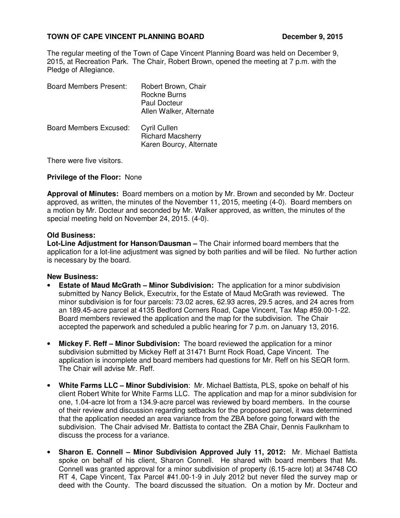# **TOWN OF CAPE VINCENT PLANNING BOARD DECEMBER 9, 2015**

The regular meeting of the Town of Cape Vincent Planning Board was held on December 9, 2015, at Recreation Park. The Chair, Robert Brown, opened the meeting at 7 p.m. with the Pledge of Allegiance.

| <b>Board Members Present:</b> | Robert Brown, Chair<br>Rockne Burns<br>Paul Docteur<br>Allen Walker, Alternate |
|-------------------------------|--------------------------------------------------------------------------------|
| <b>Board Members Excused:</b> | Cyril Cullen<br><b>Richard Macsherry</b><br>Karen Bourcy, Alternate            |

There were five visitors.

### **Privilege of the Floor:** None

**Approval of Minutes:** Board members on a motion by Mr. Brown and seconded by Mr. Docteur approved, as written, the minutes of the November 11, 2015, meeting (4-0). Board members on a motion by Mr. Docteur and seconded by Mr. Walker approved, as written, the minutes of the special meeting held on November 24, 2015. (4-0).

### **Old Business:**

**Lot-Line Adjustment for Hanson/Dausman –** The Chair informed board members that the application for a lot-line adjustment was signed by both parities and will be filed. No further action is necessary by the board.

### **New Business:**

- **Estate of Maud McGrath Minor Subdivision:** The application for a minor subdivision submitted by Nancy Belick, Executrix, for the Estate of Maud McGrath was reviewed. The minor subdivision is for four parcels: 73.02 acres, 62.93 acres, 29.5 acres, and 24 acres from an 189.45-acre parcel at 4135 Bedford Corners Road, Cape Vincent, Tax Map #59.00-1-22. Board members reviewed the application and the map for the subdivision. The Chair accepted the paperwork and scheduled a public hearing for 7 p.m. on January 13, 2016.
- **Mickey F. Reff Minor Subdivision:** The board reviewed the application for a minor subdivision submitted by Mickey Reff at 31471 Burnt Rock Road, Cape Vincent. The application is incomplete and board members had questions for Mr. Reff on his SEQR form. The Chair will advise Mr. Reff.
- **White Farms LLC – Minor Subdivision**: Mr. Michael Battista, PLS, spoke on behalf of his client Robert White for White Farms LLC. The application and map for a minor subdivision for one, 1.04-acre lot from a 134.9-acre parcel was reviewed by board members. In the course of their review and discussion regarding setbacks for the proposed parcel, it was determined that the application needed an area variance from the ZBA before going forward with the subdivision. The Chair advised Mr. Battista to contact the ZBA Chair, Dennis Faulknham to discuss the process for a variance.
- **Sharon E. Connell Minor Subdivision Approved July 11, 2012:** Mr. Michael Battista spoke on behalf of his client, Sharon Connell. He shared with board members that Ms. Connell was granted approval for a minor subdivision of property (6.15-acre lot) at 34748 CO RT 4, Cape Vincent, Tax Parcel #41.00-1-9 in July 2012 but never filed the survey map or deed with the County. The board discussed the situation. On a motion by Mr. Docteur and